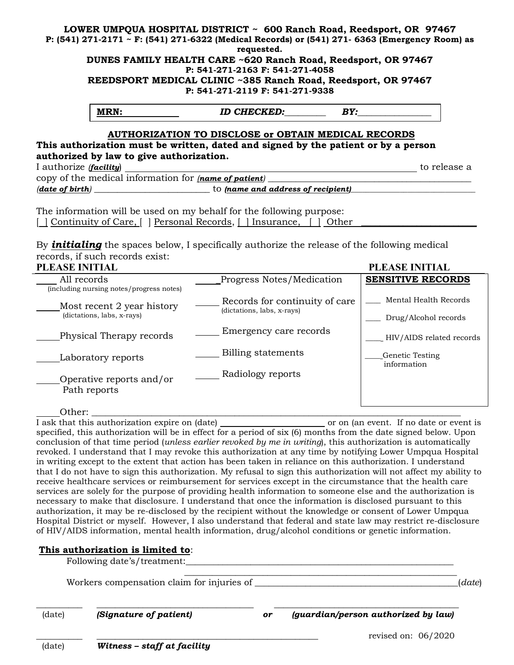## **LOWER UMPQUA HOSPITAL DISTRICT ~ 600 Ranch Road, Reedsport, OR 97467 P: (541) 271-2171 ~ F: (541) 271-6322 (Medical Records) or (541) 271- 6363 (Emergency Room) as**

**requested.**

**DUNES FAMILY HEALTH CARE ~620 Ranch Road, Reedsport, OR 97467 P: 541-271-2163 F: 541-271-4058**

**REEDSPORT MEDICAL CLINIC ~385 Ranch Road, Reedsport, OR 97467 P: 541-271-2119 F: 541-271-9338**

**MRN:** *<i>ID CHECKED:* BY:

## **AUTHORIZATION TO DISCLOSE or OBTAIN MEDICAL RECORDS**

**This authorization must be written, dated and signed by the patient or by a person authorized by law to give authorization.**

I authorize *(facility*) to release a

**PLEASE INITIAL** 

*(date of birth)* \_\_\_\_\_\_\_\_\_\_\_\_\_\_\_\_\_\_\_\_\_\_\_\_\_ to *(name and address of recipient)\_\_\_\_\_\_\_\_\_\_\_\_\_\_\_\_\_\_\_\_\_\_\_\_\_\_\_\_\_\_\_\_\_*

copy of the medical information for *(name of patient)* 

The information will be used on my behalf for the following purpose: [  $\vert$  Continuity of Care,  $\vert$  | Personal Records,  $\vert$  | Insurance,  $\vert$  | Other

By *initialing* the spaces below, I specifically authorize the release of the following medical records, if such records exist:

| <b>PLEASE INITIAL</b> |  |
|-----------------------|--|
|                       |  |

|                                                         |                                                              | т петирг плітійн               |
|---------------------------------------------------------|--------------------------------------------------------------|--------------------------------|
| All records<br>(including nursing notes/progress notes) | Progress Notes/Medication                                    | <b>SENSITIVE RECORDS</b>       |
| Most recent 2 year history                              | Records for continuity of care<br>(dictations, labs, x-rays) | Mental Health Records          |
| (dictations, labs, x-rays)                              |                                                              | Drug/Alcohol records           |
| Physical Therapy records                                | Emergency care records                                       | HIV/AIDS related records       |
| Laboratory reports                                      | Billing statements                                           | Genetic Testing<br>information |
| Operative reports and/or<br>Path reports                | Radiology reports                                            |                                |
|                                                         |                                                              |                                |

Other: \_\_\_\_\_\_\_\_\_\_\_\_\_\_\_\_\_\_\_\_\_\_\_\_\_\_\_\_\_\_\_\_\_\_\_\_\_\_\_\_\_\_\_\_\_\_\_\_\_\_\_\_\_\_\_\_\_\_\_\_\_\_\_\_\_\_\_\_\_\_\_\_\_\_\_\_\_\_\_\_

I ask that this authorization expire on (date) or on (an event. If no date or event is specified, this authorization will be in effect for a period of six (6) months from the date signed below. Upon conclusion of that time period (*unless earlier revoked by me in writing*), this authorization is automatically revoked. I understand that I may revoke this authorization at any time by notifying Lower Umpqua Hospital in writing except to the extent that action has been taken in reliance on this authorization. I understand that I do not have to sign this authorization. My refusal to sign this authorization will not affect my ability to receive healthcare services or reimbursement for services except in the circumstance that the health care services are solely for the purpose of providing health information to someone else and the authorization is necessary to make that disclosure. I understand that once the information is disclosed pursuant to this authorization, it may be re-disclosed by the recipient without the knowledge or consent of Lower Umpqua Hospital District or myself. However, I also understand that federal and state law may restrict re-disclosure of HIV/AIDS information, mental health information, drug/alcohol conditions or genetic information.

## **This authorization is limited to**:

|                                            | Following date's/treatment: |    |                                     |  |
|--------------------------------------------|-----------------------------|----|-------------------------------------|--|
| Workers compensation claim for injuries of |                             |    |                                     |  |
| (date)                                     | (Signature of patient)      | or | (guardian/person authorized by law) |  |
|                                            |                             |    | revised on: $06/2020$               |  |
| (date)                                     | Witness - staff at facility |    |                                     |  |